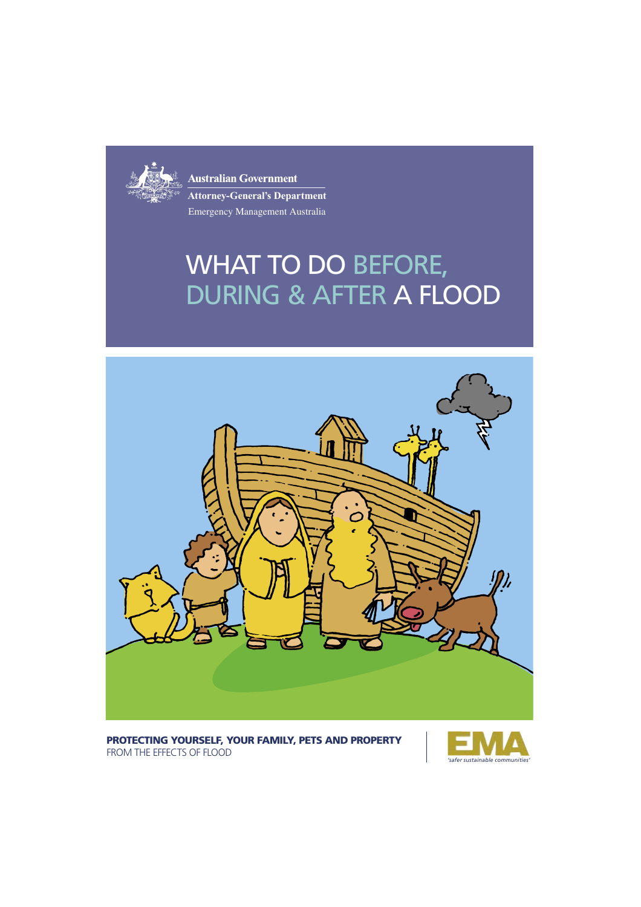

**Australian Government Attorney-General's Department** Emergency Management Australia

# WHAT TO DO BEFORE, DURING & AFTER A FLOOD



PROTECTING YOURSELF, YOUR FAMILY, PETS AND PROPERTY FROM THE EFFECTS OF FLOOD

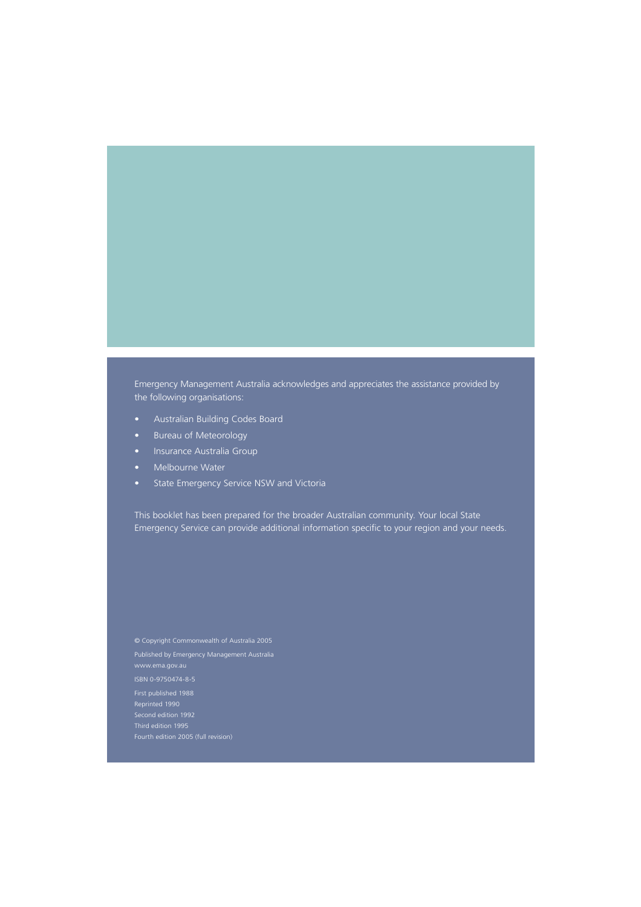Emergency Management Australia acknowledges and appreciates the assistance provided by the following organisations:

- Australian Building Codes Board
- Bureau of Meteorology
- Insurance Australia Group
- Melbourne Water
- State Emergency Service NSW and Victoria

This booklet has been prepared for the broader Australian community. Your local State Emergency Service can provide additional information specific to your region and your needs.

 $\circledR$  Copyright Commonwealth of Australia 2005 First published 1988 Third edition 1995 Fourth edition 2005 (full revision)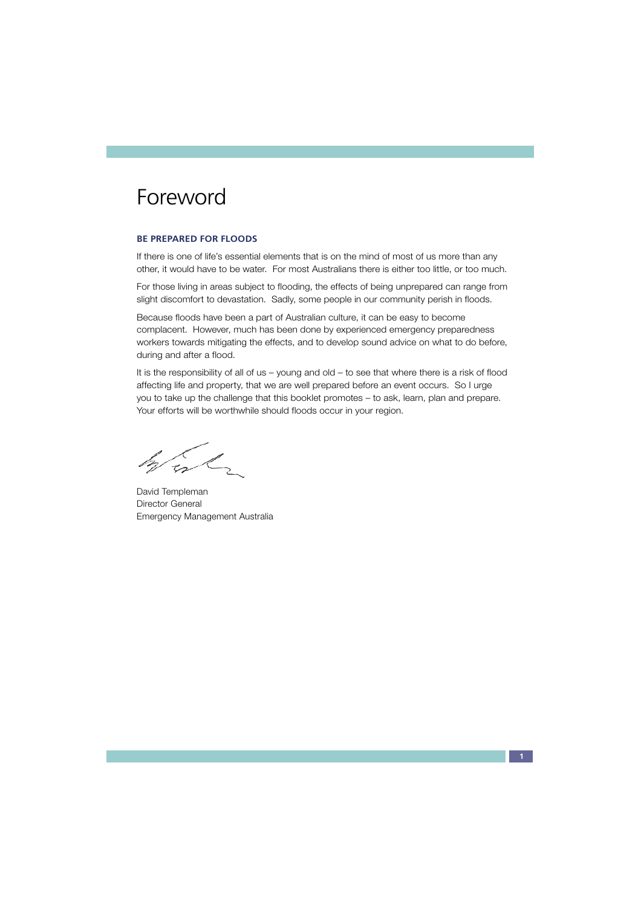### Foreword

#### **BE PREPARED FOR FLOODS**

If there is one of life's essential elements that is on the mind of most of us more than any other, it would have to be water. For most Australians there is either too little, or too much.

For those living in areas subject to flooding, the effects of being unprepared can range from slight discomfort to devastation. Sadly, some people in our community perish in floods.

Because floods have been a part of Australian culture, it can be easy to become complacent. However, much has been done by experienced emergency preparedness workers towards mitigating the effects, and to develop sound advice on what to do before, during and after a flood.

It is the responsibility of all of us – young and old – to see that where there is a risk of flood affecting life and property, that we are well prepared before an event occurs. So I urge you to take up the challenge that this booklet promotes – to ask, learn, plan and prepare. Your efforts will be worthwhile should floods occur in your region.

w

David Templeman Director General Emergency Management Australia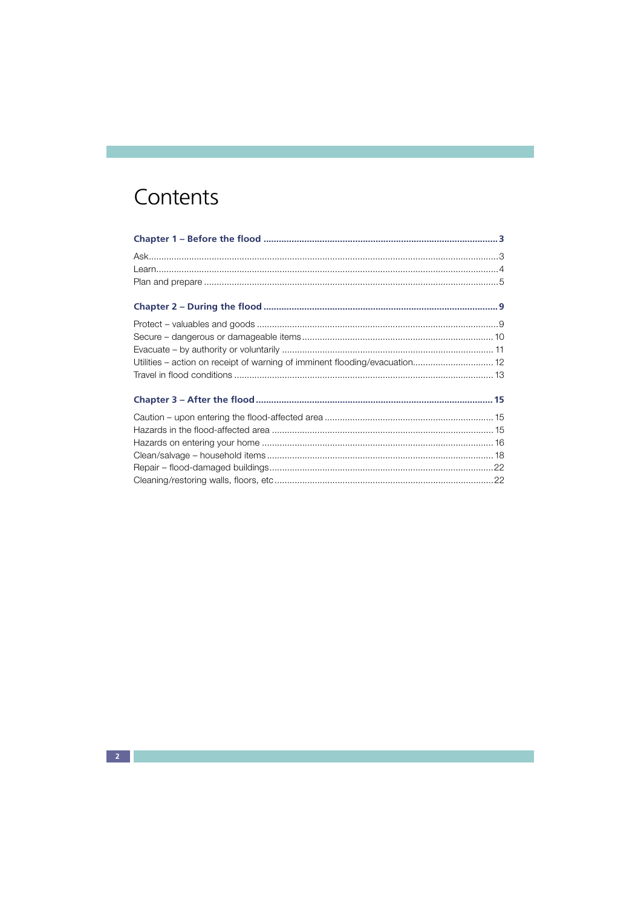## Contents

| Utilities - action on receipt of warning of imminent flooding/evacuation 12 |  |
|-----------------------------------------------------------------------------|--|
|                                                                             |  |
|                                                                             |  |
|                                                                             |  |
|                                                                             |  |
|                                                                             |  |
|                                                                             |  |
|                                                                             |  |
|                                                                             |  |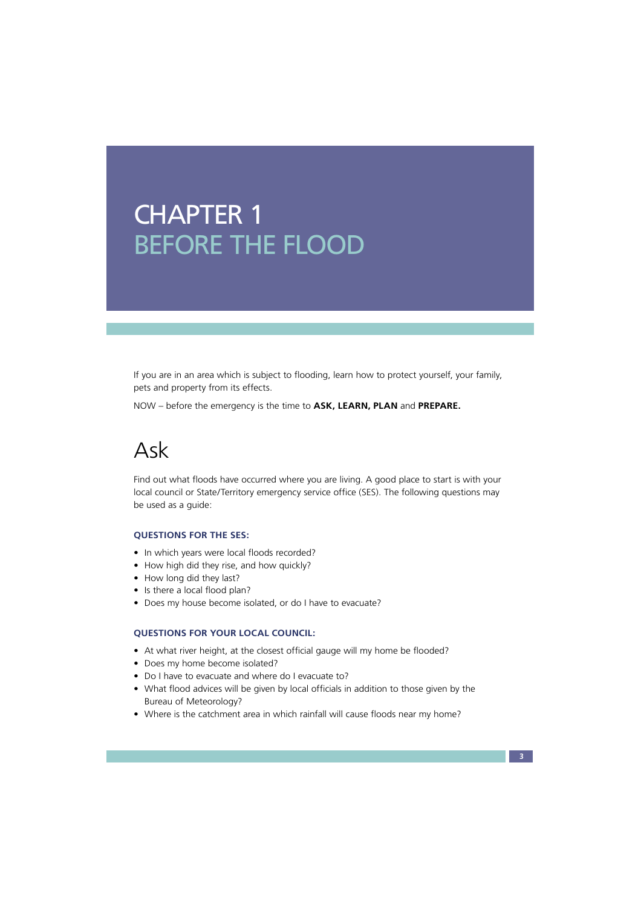# CHAPTER 1 BEFORE THE FLOOD

If you are in an area which is subject to flooding, learn how to protect yourself, your family, pets and property from its effects.

NOW – before the emergency is the time to **ASK, LEARN, PLAN** and **PREPARE.**

### Ask

Find out what floods have occurred where you are living. A good place to start is with your local council or State/Territory emergency service office (SES). The following questions may be used as a guide:

#### **QUESTIONS FOR THE SES:**

- In which years were local floods recorded?
- How high did they rise, and how quickly?
- How long did they last?
- Is there a local flood plan?
- Does my house become isolated, or do I have to evacuate?

#### **QUESTIONS FOR YOUR LOCAL COUNCIL:**

- At what river height, at the closest official gauge will my home be flooded?
- Does my home become isolated?
- Do I have to evacuate and where do I evacuate to?
- What flood advices will be given by local officials in addition to those given by the Bureau of Meteorology?

**3**

• Where is the catchment area in which rainfall will cause floods near my home?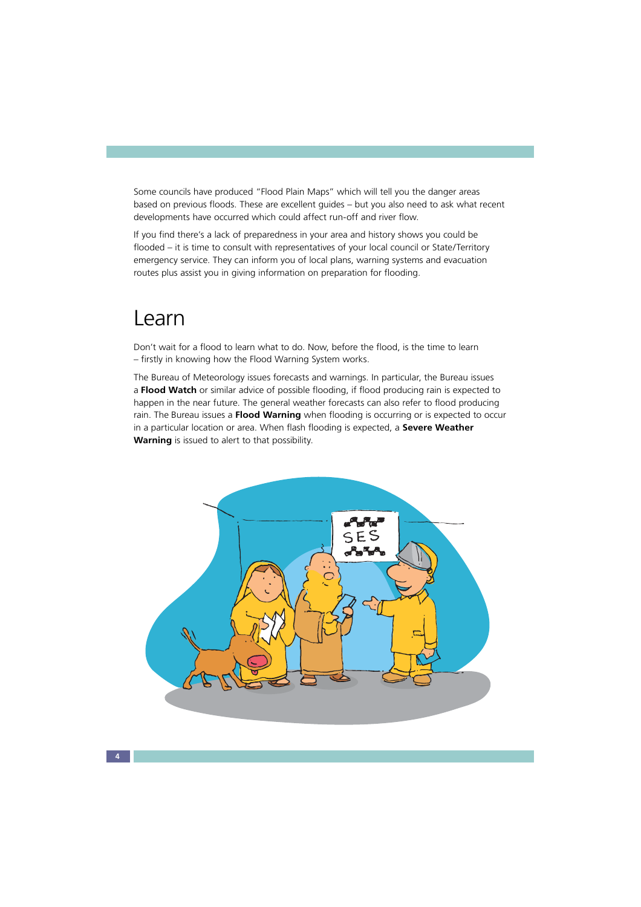Some councils have produced "Flood Plain Maps" which will tell you the danger areas based on previous floods. These are excellent guides – but you also need to ask what recent developments have occurred which could affect run-off and river flow.

If you find there's a lack of preparedness in your area and history shows you could be flooded – it is time to consult with representatives of your local council or State/Territory emergency service. They can inform you of local plans, warning systems and evacuation routes plus assist you in giving information on preparation for flooding.

### Learn

Don't wait for a flood to learn what to do. Now, before the flood, is the time to learn – firstly in knowing how the Flood Warning System works.

The Bureau of Meteorology issues forecasts and warnings. In particular, the Bureau issues a **Flood Watch** or similar advice of possible flooding, if flood producing rain is expected to happen in the near future. The general weather forecasts can also refer to flood producing rain. The Bureau issues a **Flood Warning** when flooding is occurring or is expected to occur in a particular location or area. When flash flooding is expected, a **Severe Weather Warning** is issued to alert to that possibility.

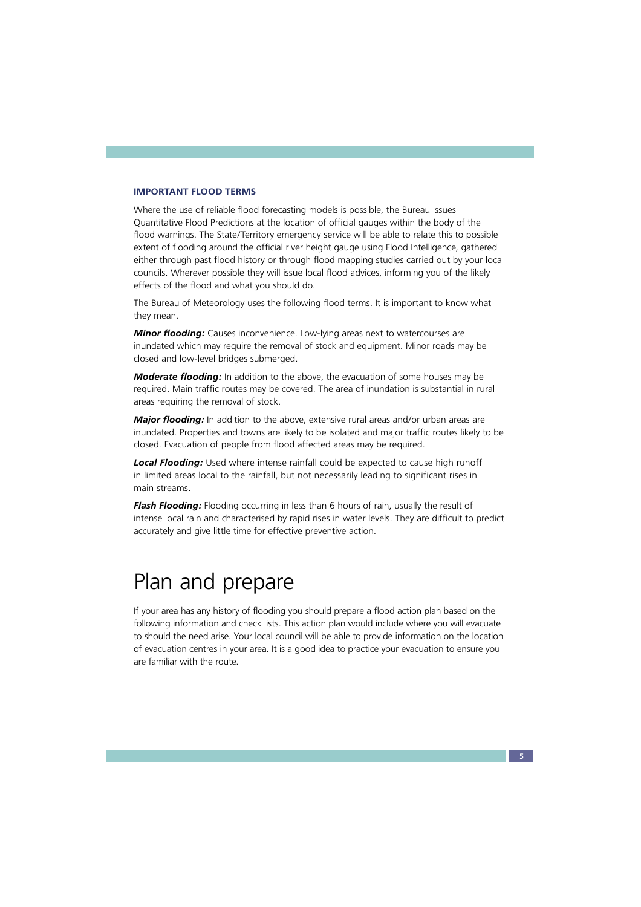#### **IMPORTANT FLOOD TERMS**

Where the use of reliable flood forecasting models is possible, the Bureau issues Quantitative Flood Predictions at the location of official gauges within the body of the flood warnings. The State/Territory emergency service will be able to relate this to possible extent of flooding around the official river height gauge using Flood Intelligence, gathered either through past flood history or through flood mapping studies carried out by your local councils. Wherever possible they will issue local flood advices, informing you of the likely effects of the flood and what you should do.

The Bureau of Meteorology uses the following flood terms. It is important to know what they mean.

*Minor flooding:* Causes inconvenience. Low-lying areas next to watercourses are inundated which may require the removal of stock and equipment. Minor roads may be closed and low-level bridges submerged.

*Moderate flooding:* In addition to the above, the evacuation of some houses may be required. Main traffic routes may be covered. The area of inundation is substantial in rural areas requiring the removal of stock.

*Major flooding:* In addition to the above, extensive rural areas and/or urban areas are inundated. Properties and towns are likely to be isolated and major traffic routes likely to be closed. Evacuation of people from flood affected areas may be required.

*Local Flooding:* Used where intense rainfall could be expected to cause high runoff in limited areas local to the rainfall, but not necessarily leading to significant rises in main streams.

*Flash Flooding:* Flooding occurring in less than 6 hours of rain, usually the result of intense local rain and characterised by rapid rises in water levels. They are difficult to predict accurately and give little time for effective preventive action.

### Plan and prepare

If your area has any history of flooding you should prepare a flood action plan based on the following information and check lists. This action plan would include where you will evacuate to should the need arise. Your local council will be able to provide information on the location of evacuation centres in your area. It is a good idea to practice your evacuation to ensure you are familiar with the route.

**5**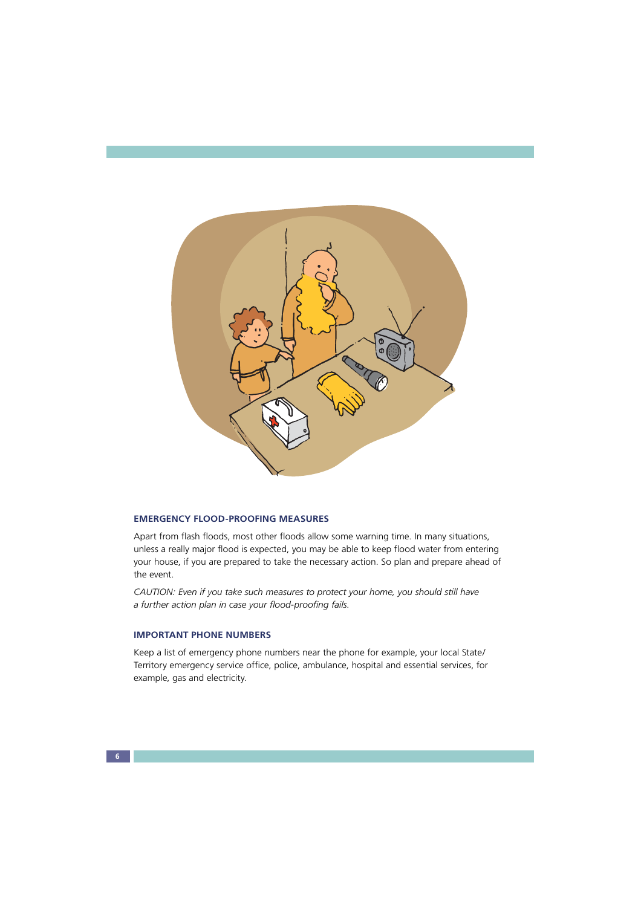

#### **EMERGENCY FLOOD-PROOFING MEASURES**

Apart from flash floods, most other floods allow some warning time. In many situations, unless a really major flood is expected, you may be able to keep flood water from entering your house, if you are prepared to take the necessary action. So plan and prepare ahead of the event.

*CAUTION: Even if you take such measures to protect your home, you should still have a further action plan in case your flood-proofing fails.*

#### **IMPORTANT PHONE NUMBERS**

Keep a list of emergency phone numbers near the phone for example, your local State/ Territory emergency service office, police, ambulance, hospital and essential services, for example, gas and electricity.

#### **6**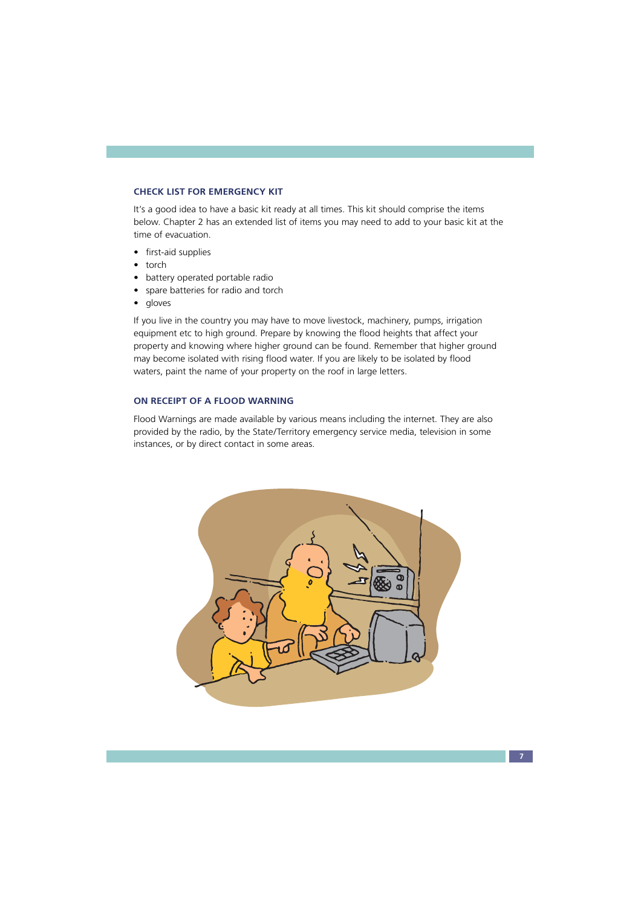#### **CHECK LIST FOR EMERGENCY KIT**

It's a good idea to have a basic kit ready at all times. This kit should comprise the items below. Chapter 2 has an extended list of items you may need to add to your basic kit at the time of evacuation.

- first-aid supplies
- torch
- battery operated portable radio
- spare batteries for radio and torch
- gloves

If you live in the country you may have to move livestock, machinery, pumps, irrigation equipment etc to high ground. Prepare by knowing the flood heights that affect your property and knowing where higher ground can be found. Remember that higher ground may become isolated with rising flood water. If you are likely to be isolated by flood waters, paint the name of your property on the roof in large letters.

#### **ON RECEIPT OF A FLOOD WARNING**

Flood Warnings are made available by various means including the internet. They are also provided by the radio, by the State/Territory emergency service media, television in some instances, or by direct contact in some areas.



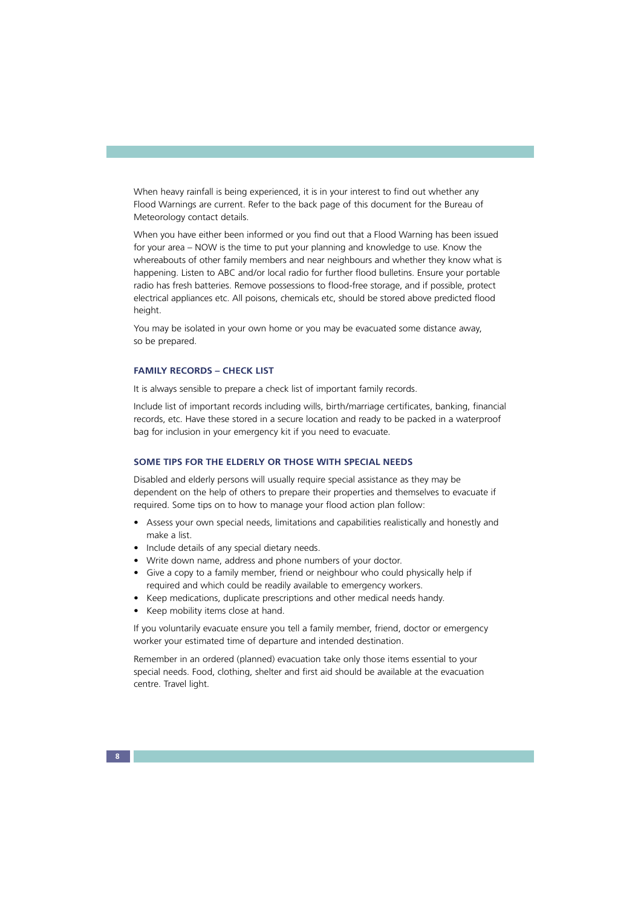When heavy rainfall is being experienced, it is in your interest to find out whether any Flood Warnings are current. Refer to the back page of this document for the Bureau of Meteorology contact details.

When you have either been informed or you find out that a Flood Warning has been issued for your area – NOW is the time to put your planning and knowledge to use. Know the whereabouts of other family members and near neighbours and whether they know what is happening. Listen to ABC and/or local radio for further flood bulletins. Ensure your portable radio has fresh batteries. Remove possessions to flood-free storage, and if possible, protect electrical appliances etc. All poisons, chemicals etc, should be stored above predicted flood height.

You may be isolated in your own home or you may be evacuated some distance away, so be prepared.

#### **FAMILY RECORDS – CHECK LIST**

It is always sensible to prepare a check list of important family records.

Include list of important records including wills, birth/marriage certificates, banking, financial records, etc. Have these stored in a secure location and ready to be packed in a waterproof bag for inclusion in your emergency kit if you need to evacuate.

#### **SOME TIPS FOR THE ELDERLY OR THOSE WITH SPECIAL NEEDS**

Disabled and elderly persons will usually require special assistance as they may be dependent on the help of others to prepare their properties and themselves to evacuate if required. Some tips on to how to manage your flood action plan follow:

- Assess your own special needs, limitations and capabilities realistically and honestly and make a list.
- Include details of any special dietary needs.
- Write down name, address and phone numbers of your doctor.
- Give a copy to a family member, friend or neighbour who could physically help if required and which could be readily available to emergency workers.
- Keep medications, duplicate prescriptions and other medical needs handy.
- Keep mobility items close at hand.

If you voluntarily evacuate ensure you tell a family member, friend, doctor or emergency worker your estimated time of departure and intended destination.

Remember in an ordered (planned) evacuation take only those items essential to your special needs. Food, clothing, shelter and first aid should be available at the evacuation centre. Travel light.

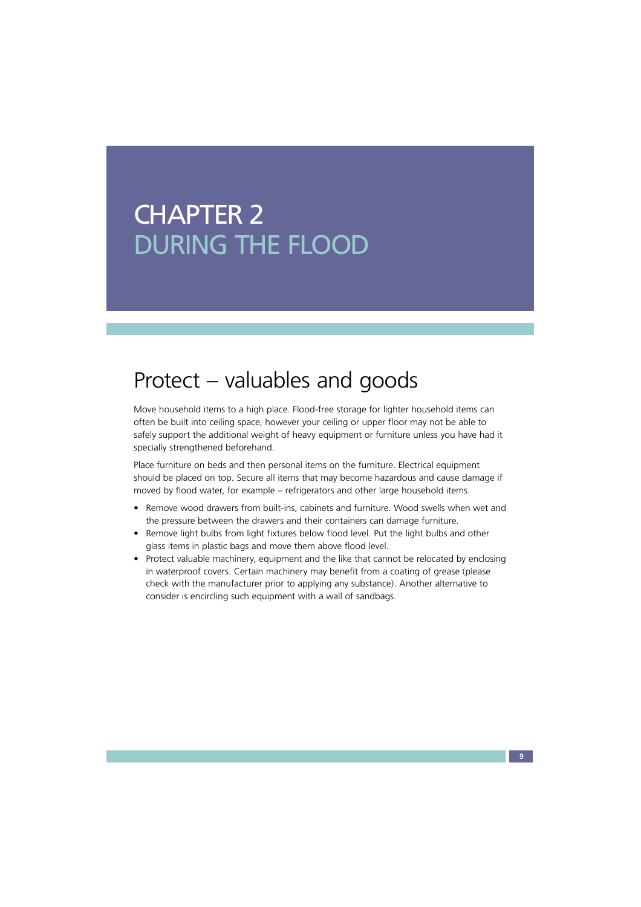# CHAPTER 2 DURING THE FLOOD

### Protect – valuables and goods

Move household items to a high place. Flood-free storage for lighter household items can often be built into ceiling space, however your ceiling or upper floor may not be able to safely support the additional weight of heavy equipment or furniture unless you have had it specially strengthened beforehand.

Place furniture on beds and then personal items on the furniture. Electrical equipment should be placed on top. Secure all items that may become hazardous and cause damage if moved by flood water, for example – refrigerators and other large household items.

- Remove wood drawers from built-ins, cabinets and furniture. Wood swells when wet and the pressure between the drawers and their containers can damage furniture.
- Remove light bulbs from light fixtures below flood level. Put the light bulbs and other glass items in plastic bags and move them above flood level.
- Protect valuable machinery, equipment and the like that cannot be relocated by enclosing in waterproof covers. Certain machinery may benefit from a coating of grease (please check with the manufacturer prior to applying any substance). Another alternative to consider is encircling such equipment with a wall of sandbags.

**9**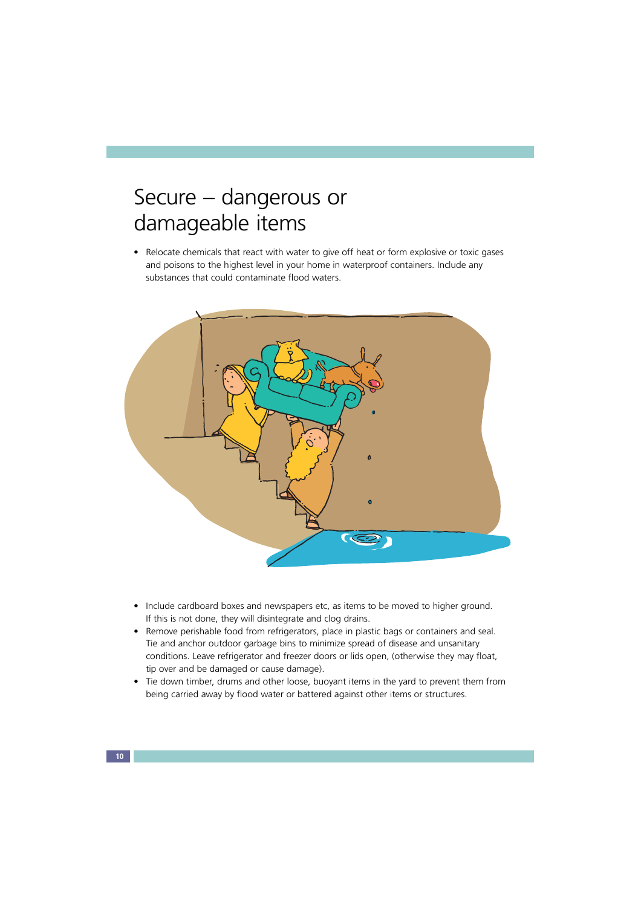## Secure – dangerous or damageable items

• Relocate chemicals that react with water to give off heat or form explosive or toxic gases and poisons to the highest level in your home in waterproof containers. Include any substances that could contaminate flood waters.



- Include cardboard boxes and newspapers etc, as items to be moved to higher ground. If this is not done, they will disintegrate and clog drains.
- Remove perishable food from refrigerators, place in plastic bags or containers and seal. Tie and anchor outdoor garbage bins to minimize spread of disease and unsanitary conditions. Leave refrigerator and freezer doors or lids open, (otherwise they may float, tip over and be damaged or cause damage).
- Tie down timber, drums and other loose, buoyant items in the yard to prevent them from being carried away by flood water or battered against other items or structures.

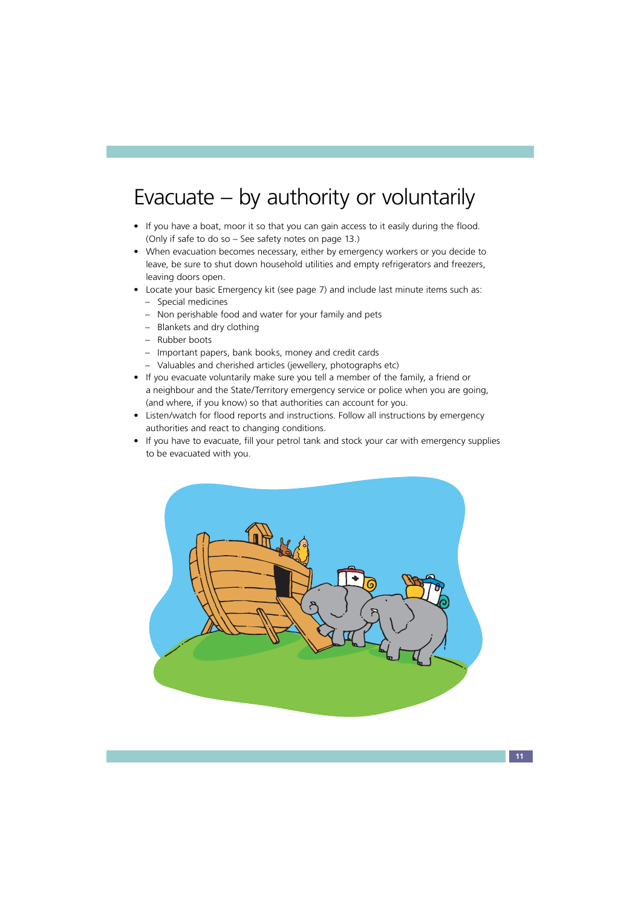### Evacuate – by authority or voluntarily

- If you have a boat, moor it so that you can gain access to it easily during the flood. (Only if safe to do so – See safety notes on page 13.)
- When evacuation becomes necessary, either by emergency workers or you decide to leave, be sure to shut down household utilities and empty refrigerators and freezers, leaving doors open.
- Locate your basic Emergency kit (see page 7) and include last minute items such as:
	- Special medicines
	- Non perishable food and water for your family and pets
	- Blankets and dry clothing
	- Rubber boots
	- Important papers, bank books, money and credit cards
	- Valuables and cherished articles (jewellery, photographs etc)
- If you evacuate voluntarily make sure you tell a member of the family, a friend or a neighbour and the State/Territory emergency service or police when you are going, (and where, if you know) so that authorities can account for you.
- Listen/watch for flood reports and instructions. Follow all instructions by emergency authorities and react to changing conditions.
- If you have to evacuate, fill your petrol tank and stock your car with emergency supplies to be evacuated with you.



**11**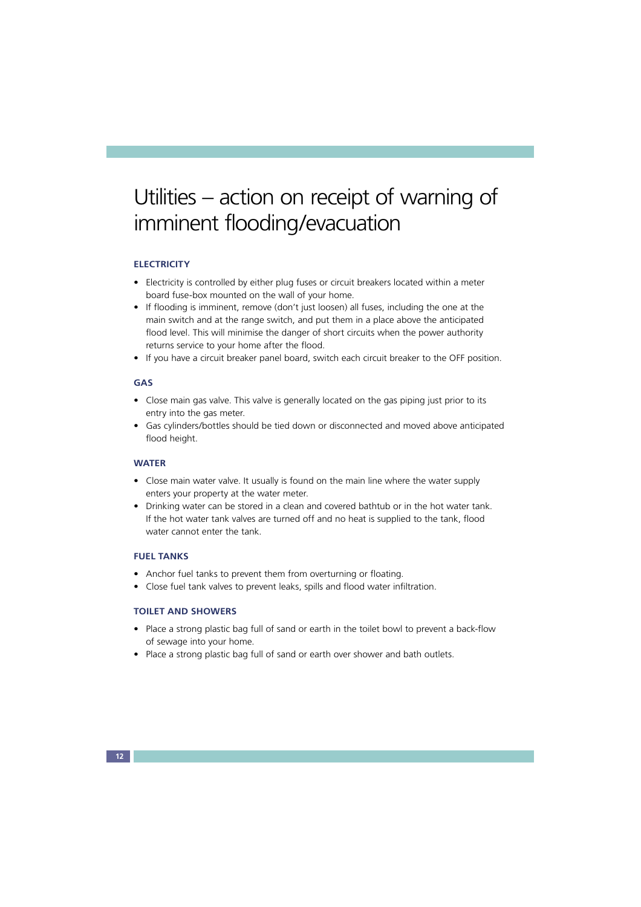### Utilities – action on receipt of warning of imminent flooding/evacuation

#### **ELECTRICITY**

- Electricity is controlled by either plug fuses or circuit breakers located within a meter board fuse-box mounted on the wall of your home.
- If flooding is imminent, remove (don't just loosen) all fuses, including the one at the main switch and at the range switch, and put them in a place above the anticipated flood level. This will minimise the danger of short circuits when the power authority returns service to your home after the flood.
- If you have a circuit breaker panel board, switch each circuit breaker to the OFF position.

#### **GAS**

- Close main gas valve. This valve is generally located on the gas piping just prior to its entry into the gas meter.
- Gas cylinders/bottles should be tied down or disconnected and moved above anticipated flood height.

#### **WATER**

- Close main water valve. It usually is found on the main line where the water supply enters your property at the water meter.
- Drinking water can be stored in a clean and covered bathtub or in the hot water tank. If the hot water tank valves are turned off and no heat is supplied to the tank, flood water cannot enter the tank.

#### **FUEL TANKS**

- Anchor fuel tanks to prevent them from overturning or floating.
- Close fuel tank valves to prevent leaks, spills and flood water infiltration.

#### **TOILET AND SHOWERS**

- Place a strong plastic bag full of sand or earth in the toilet bowl to prevent a back-flow of sewage into your home.
- Place a strong plastic bag full of sand or earth over shower and bath outlets.

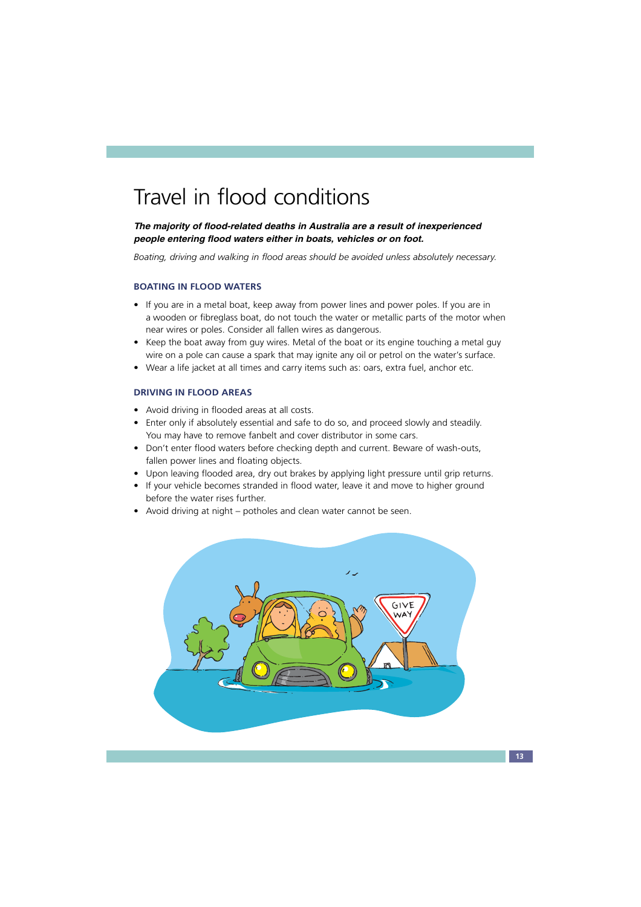### Travel in flood conditions

#### *The majority of flood-related deaths in Australia are a result of inexperienced people entering flood waters either in boats, vehicles or on foot.*

*Boating, driving and walking in flood areas should be avoided unless absolutely necessary.*

#### **BOATING IN FLOOD WATERS**

- If you are in a metal boat, keep away from power lines and power poles. If you are in a wooden or fibreglass boat, do not touch the water or metallic parts of the motor when near wires or poles. Consider all fallen wires as dangerous.
- Keep the boat away from guy wires. Metal of the boat or its engine touching a metal guy wire on a pole can cause a spark that may ignite any oil or petrol on the water's surface.
- Wear a life jacket at all times and carry items such as: oars, extra fuel, anchor etc.

#### **DRIVING IN FLOOD AREAS**

- Avoid driving in flooded areas at all costs.
- Enter only if absolutely essential and safe to do so, and proceed slowly and steadily. You may have to remove fanbelt and cover distributor in some cars.
- Don't enter flood waters before checking depth and current. Beware of wash-outs, fallen power lines and floating objects.
- Upon leaving flooded area, dry out brakes by applying light pressure until grip returns.
- If your vehicle becomes stranded in flood water, leave it and move to higher ground before the water rises further.
- Avoid driving at night potholes and clean water cannot be seen.

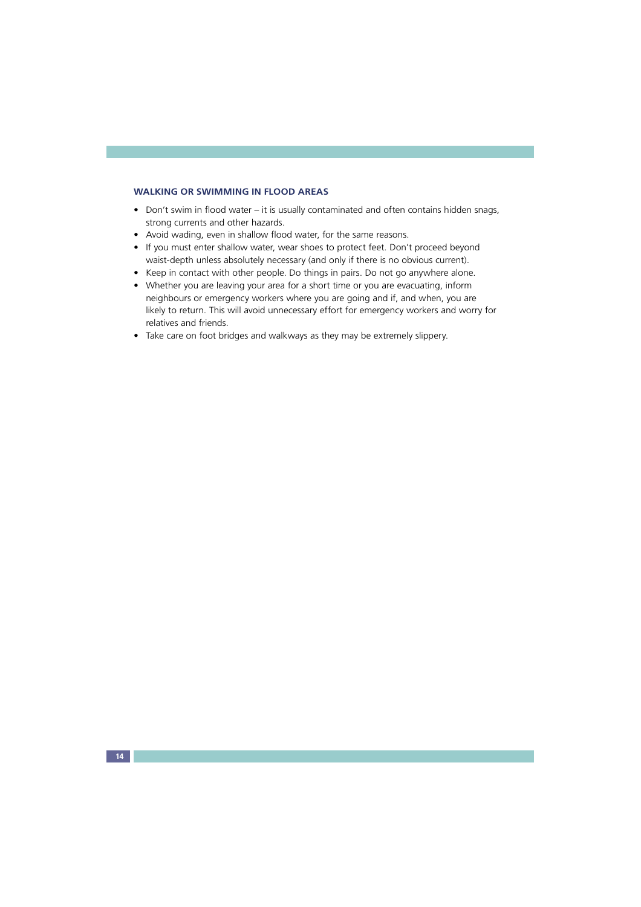#### **WALKING OR SWIMMING IN FLOOD AREAS**

- Don't swim in flood water it is usually contaminated and often contains hidden snags, strong currents and other hazards.
- Avoid wading, even in shallow flood water, for the same reasons.
- If you must enter shallow water, wear shoes to protect feet. Don't proceed beyond waist-depth unless absolutely necessary (and only if there is no obvious current).
- Keep in contact with other people. Do things in pairs. Do not go anywhere alone.
- Whether you are leaving your area for a short time or you are evacuating, inform neighbours or emergency workers where you are going and if, and when, you are likely to return. This will avoid unnecessary effort for emergency workers and worry for relatives and friends.
- Take care on foot bridges and walkways as they may be extremely slippery.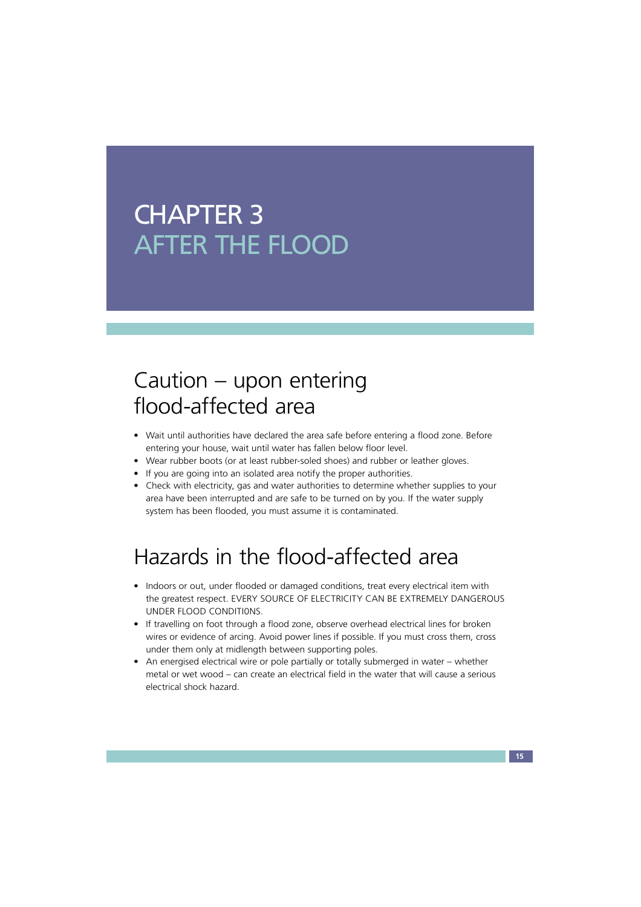# CHAPTER 3 AFTER THE FLOOD

### Caution – upon entering flood-affected area

- Wait until authorities have declared the area safe before entering a flood zone. Before entering your house, wait until water has fallen below floor level.
- Wear rubber boots (or at least rubber-soled shoes) and rubber or leather gloves.
- If you are going into an isolated area notify the proper authorities.
- Check with electricity, gas and water authorities to determine whether supplies to your area have been interrupted and are safe to be turned on by you. If the water supply system has been flooded, you must assume it is contaminated.

### Hazards in the flood-affected area

- Indoors or out, under flooded or damaged conditions, treat every electrical item with the greatest respect. EVERY SOURCE OF ELECTRICITY CAN BE EXTREMELY DANGEROUS UNDER FLOOD CONDITI0NS.
- If travelling on foot through a flood zone, observe overhead electrical lines for broken wires or evidence of arcing. Avoid power lines if possible. If you must cross them, cross under them only at midlength between supporting poles.
- An energised electrical wire or pole partially or totally submerged in water whether metal or wet wood – can create an electrical field in the water that will cause a serious electrical shock hazard.

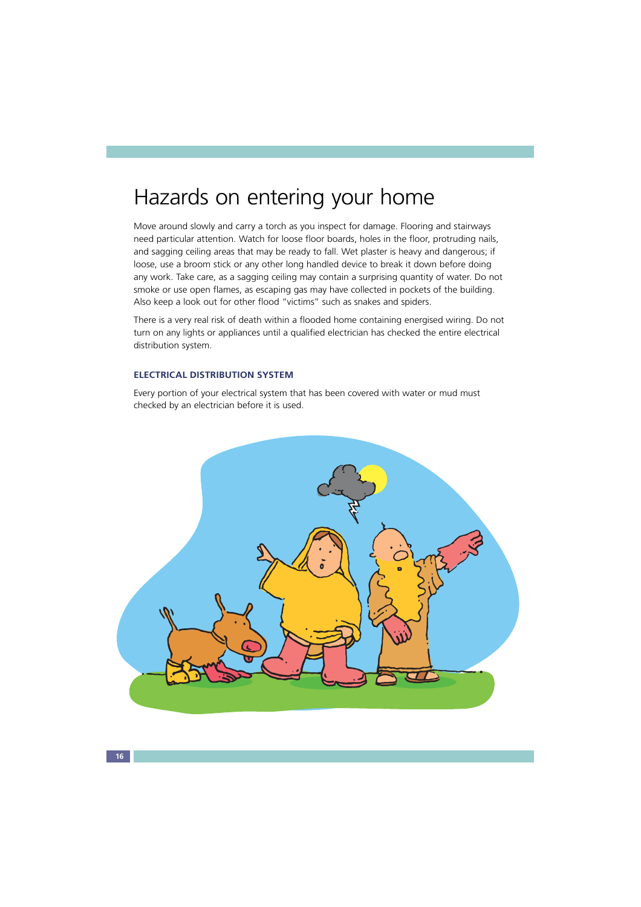### Hazards on entering your home

Move around slowly and carry a torch as you inspect for damage. Flooring and stairways need particular attention. Watch for loose floor boards, holes in the floor, protruding nails, and sagging ceiling areas that may be ready to fall. Wet plaster is heavy and dangerous; if loose, use a broom stick or any other long handled device to break it down before doing any work. Take care, as a sagging ceiling may contain a surprising quantity of water. Do not smoke or use open flames, as escaping gas may have collected in pockets of the building. Also keep a look out for other flood "victims" such as snakes and spiders.

There is a very real risk of death within a flooded home containing energised wiring. Do not turn on any lights or appliances until a qualified electrician has checked the entire electrical distribution system.

### **ELECTRICAL DISTRIBUTION SYSTEM**

Every portion of your electrical system that has been covered with water or mud must checked by an electrician before it is used.

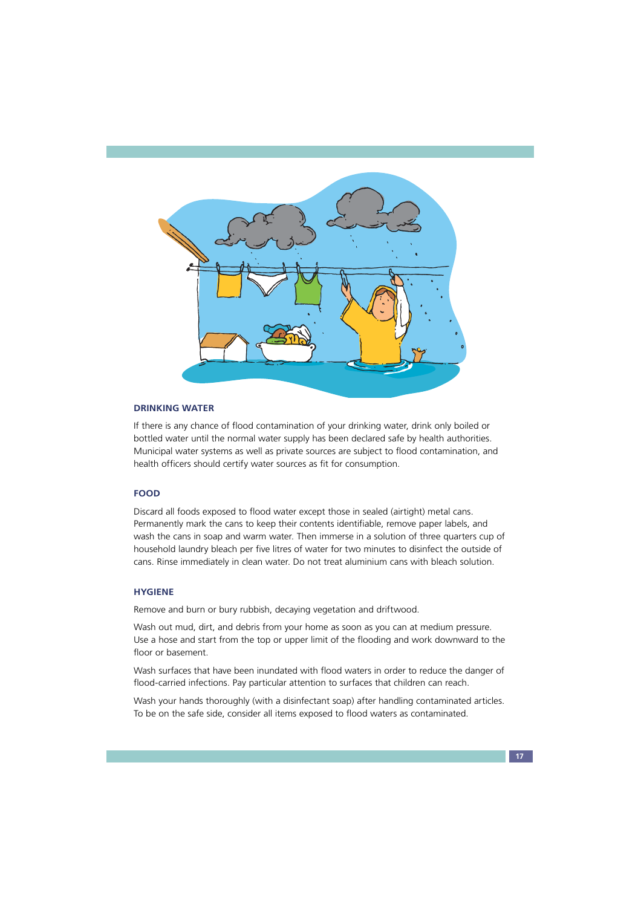

#### **DRINKING WATER**

If there is any chance of flood contamination of your drinking water, drink only boiled or bottled water until the normal water supply has been declared safe by health authorities. Municipal water systems as well as private sources are subject to flood contamination, and health officers should certify water sources as fit for consumption.

#### **FOOD**

Discard all foods exposed to flood water except those in sealed (airtight) metal cans. Permanently mark the cans to keep their contents identifiable, remove paper labels, and wash the cans in soap and warm water. Then immerse in a solution of three quarters cup of household laundry bleach per five litres of water for two minutes to disinfect the outside of cans. Rinse immediately in clean water. Do not treat aluminium cans with bleach solution.

#### **HYGIENE**

Remove and burn or bury rubbish, decaying vegetation and driftwood.

Wash out mud, dirt, and debris from your home as soon as you can at medium pressure. Use a hose and start from the top or upper limit of the flooding and work downward to the floor or basement.

Wash surfaces that have been inundated with flood waters in order to reduce the danger of flood-carried infections. Pay particular attention to surfaces that children can reach.

Wash your hands thoroughly (with a disinfectant soap) after handling contaminated articles. To be on the safe side, consider all items exposed to flood waters as contaminated.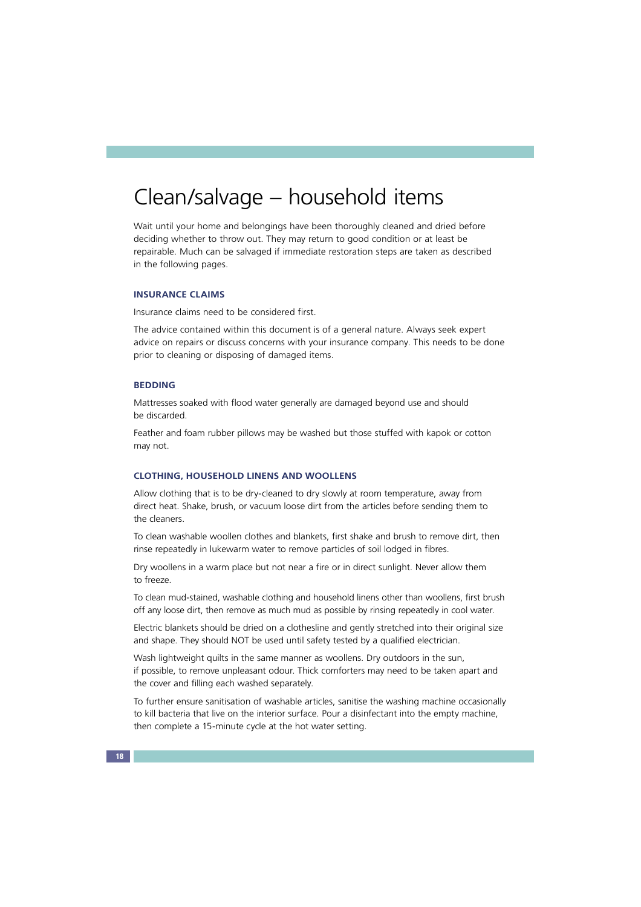### Clean/salvage – household items

Wait until your home and belongings have been thoroughly cleaned and dried before deciding whether to throw out. They may return to good condition or at least be repairable. Much can be salvaged if immediate restoration steps are taken as described in the following pages.

#### **INSURANCE CLAIMS**

Insurance claims need to be considered first.

The advice contained within this document is of a general nature. Always seek expert advice on repairs or discuss concerns with your insurance company. This needs to be done prior to cleaning or disposing of damaged items.

#### **BEDDING**

Mattresses soaked with flood water generally are damaged beyond use and should be discarded.

Feather and foam rubber pillows may be washed but those stuffed with kapok or cotton may not.

#### **CLOTHING, HOUSEHOLD LINENS AND WOOLLENS**

Allow clothing that is to be dry-cleaned to dry slowly at room temperature, away from direct heat. Shake, brush, or vacuum loose dirt from the articles before sending them to the cleaners.

To clean washable woollen clothes and blankets, first shake and brush to remove dirt, then rinse repeatedly in lukewarm water to remove particles of soil lodged in fibres.

Dry woollens in a warm place but not near a fire or in direct sunlight. Never allow them to freeze.

To clean mud-stained, washable clothing and household linens other than woollens, first brush off any loose dirt, then remove as much mud as possible by rinsing repeatedly in cool water.

Electric blankets should be dried on a clothesline and gently stretched into their original size and shape. They should NOT be used until safety tested by a qualified electrician.

Wash lightweight quilts in the same manner as woollens. Dry outdoors in the sun, if possible, to remove unpleasant odour. Thick comforters may need to be taken apart and the cover and filling each washed separately.

To further ensure sanitisation of washable articles, sanitise the washing machine occasionally to kill bacteria that live on the interior surface. Pour a disinfectant into the empty machine, then complete a 15-minute cycle at the hot water setting.

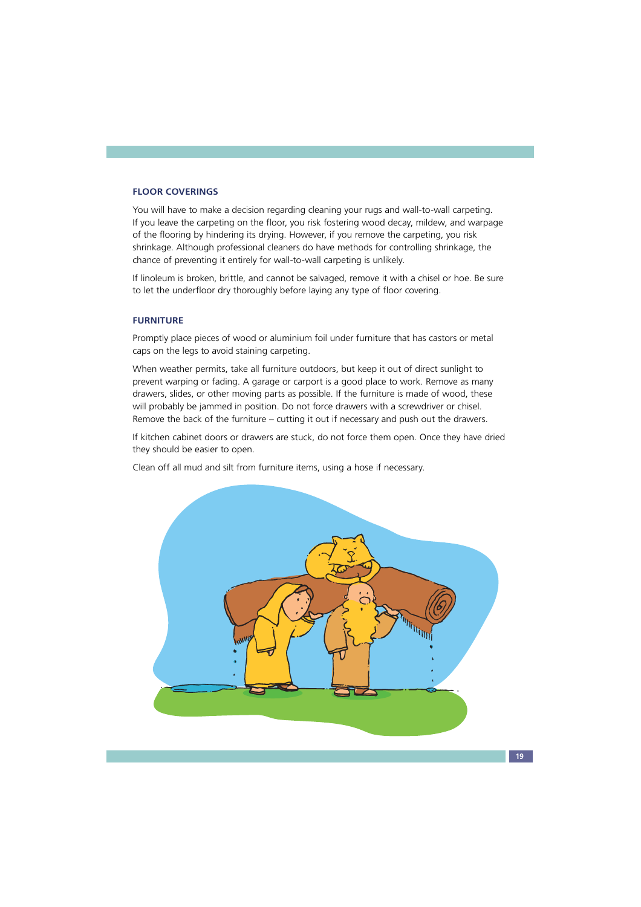#### **FLOOR COVERINGS**

You will have to make a decision regarding cleaning your rugs and wall-to-wall carpeting. If you leave the carpeting on the floor, you risk fostering wood decay, mildew, and warpage of the flooring by hindering its drying. However, if you remove the carpeting, you risk shrinkage. Although professional cleaners do have methods for controlling shrinkage, the chance of preventing it entirely for wall-to-wall carpeting is unlikely.

If linoleum is broken, brittle, and cannot be salvaged, remove it with a chisel or hoe. Be sure to let the underfloor dry thoroughly before laying any type of floor covering.

#### **FURNITURE**

Promptly place pieces of wood or aluminium foil under furniture that has castors or metal caps on the legs to avoid staining carpeting.

When weather permits, take all furniture outdoors, but keep it out of direct sunlight to prevent warping or fading. A garage or carport is a good place to work. Remove as many drawers, slides, or other moving parts as possible. If the furniture is made of wood, these will probably be jammed in position. Do not force drawers with a screwdriver or chisel. Remove the back of the furniture – cutting it out if necessary and push out the drawers.

If kitchen cabinet doors or drawers are stuck, do not force them open. Once they have dried they should be easier to open.

Clean off all mud and silt from furniture items, using a hose if necessary.

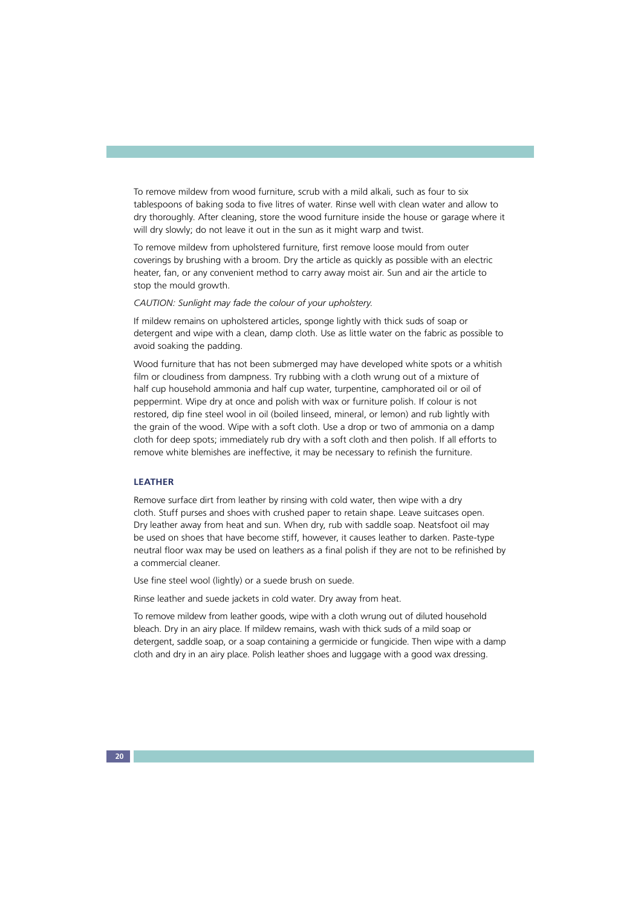To remove mildew from wood furniture, scrub with a mild alkali, such as four to six tablespoons of baking soda to five litres of water. Rinse well with clean water and allow to dry thoroughly. After cleaning, store the wood furniture inside the house or garage where it will dry slowly; do not leave it out in the sun as it might warp and twist.

To remove mildew from upholstered furniture, first remove loose mould from outer coverings by brushing with a broom. Dry the article as quickly as possible with an electric heater, fan, or any convenient method to carry away moist air. Sun and air the article to stop the mould growth.

#### *CAUTION: Sunlight may fade the colour of your upholstery.*

If mildew remains on upholstered articles, sponge lightly with thick suds of soap or detergent and wipe with a clean, damp cloth. Use as little water on the fabric as possible to avoid soaking the padding.

Wood furniture that has not been submerged may have developed white spots or a whitish film or cloudiness from dampness. Try rubbing with a cloth wrung out of a mixture of half cup household ammonia and half cup water, turpentine, camphorated oil or oil of peppermint. Wipe dry at once and polish with wax or furniture polish. If colour is not restored, dip fine steel wool in oil (boiled linseed, mineral, or lemon) and rub lightly with the grain of the wood. Wipe with a soft cloth. Use a drop or two of ammonia on a damp cloth for deep spots; immediately rub dry with a soft cloth and then polish. If all efforts to remove white blemishes are ineffective, it may be necessary to refinish the furniture.

#### **LEATHER**

Remove surface dirt from leather by rinsing with cold water, then wipe with a dry cloth. Stuff purses and shoes with crushed paper to retain shape. Leave suitcases open. Dry leather away from heat and sun. When dry, rub with saddle soap. Neatsfoot oil may be used on shoes that have become stiff, however, it causes leather to darken. Paste-type neutral floor wax may be used on leathers as a final polish if they are not to be refinished by a commercial cleaner.

Use fine steel wool (lightly) or a suede brush on suede.

Rinse leather and suede jackets in cold water. Dry away from heat.

To remove mildew from leather goods, wipe with a cloth wrung out of diluted household bleach. Dry in an airy place. If mildew remains, wash with thick suds of a mild soap or detergent, saddle soap, or a soap containing a germicide or fungicide. Then wipe with a damp cloth and dry in an airy place. Polish leather shoes and luggage with a good wax dressing.

**20**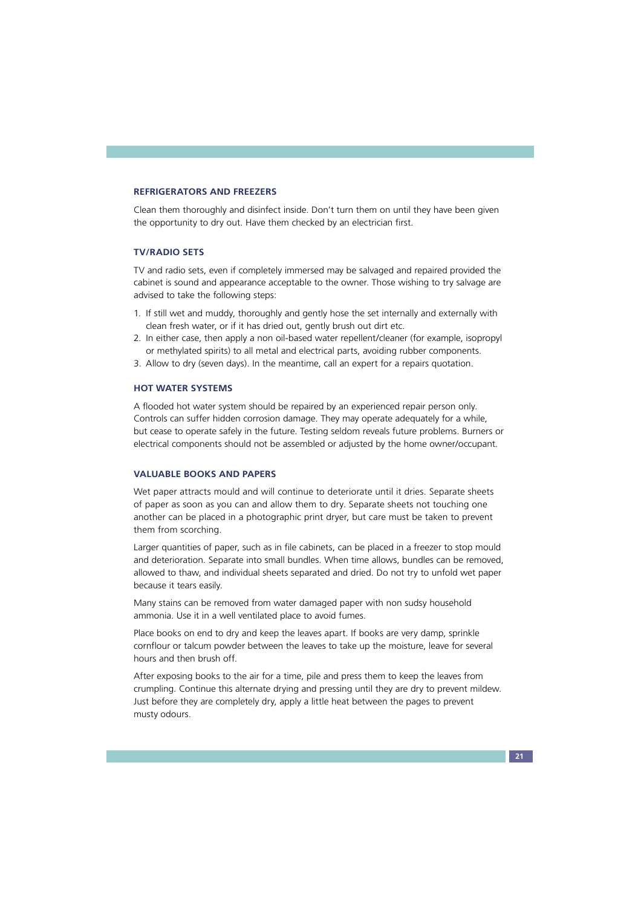#### **REFRIGERATORS AND FREEZERS**

Clean them thoroughly and disinfect inside. Don't turn them on until they have been given the opportunity to dry out. Have them checked by an electrician first.

#### **TV/RADIO SETS**

TV and radio sets, even if completely immersed may be salvaged and repaired provided the cabinet is sound and appearance acceptable to the owner. Those wishing to try salvage are advised to take the following steps:

- 1. If still wet and muddy, thoroughly and gently hose the set internally and externally with clean fresh water, or if it has dried out, gently brush out dirt etc.
- 2. In either case, then apply a non oil-based water repellent/cleaner (for example, isopropyl or methylated spirits) to all metal and electrical parts, avoiding rubber components.
- 3. Allow to dry (seven days). In the meantime, call an expert for a repairs quotation.

#### **HOT WATER SYSTEMS**

A flooded hot water system should be repaired by an experienced repair person only. Controls can suffer hidden corrosion damage. They may operate adequately for a while, but cease to operate safely in the future. Testing seldom reveals future problems. Burners or electrical components should not be assembled or adjusted by the home owner/occupant.

#### **VALUABLE BOOKS AND PAPERS**

Wet paper attracts mould and will continue to deteriorate until it dries. Separate sheets of paper as soon as you can and allow them to dry. Separate sheets not touching one another can be placed in a photographic print dryer, but care must be taken to prevent them from scorching.

Larger quantities of paper, such as in file cabinets, can be placed in a freezer to stop mould and deterioration. Separate into small bundles. When time allows, bundles can be removed, allowed to thaw, and individual sheets separated and dried. Do not try to unfold wet paper because it tears easily.

Many stains can be removed from water damaged paper with non sudsy household ammonia. Use it in a well ventilated place to avoid fumes.

Place books on end to dry and keep the leaves apart. If books are very damp, sprinkle cornflour or talcum powder between the leaves to take up the moisture, leave for several hours and then brush off.

After exposing books to the air for a time, pile and press them to keep the leaves from crumpling. Continue this alternate drying and pressing until they are dry to prevent mildew. Just before they are completely dry, apply a little heat between the pages to prevent musty odours.

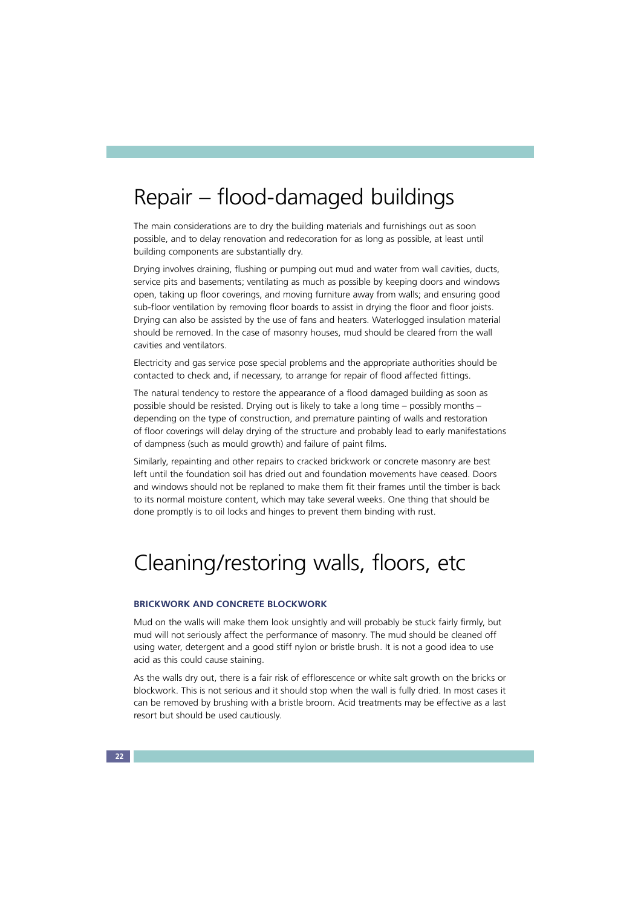### Repair – flood-damaged buildings

The main considerations are to dry the building materials and furnishings out as soon possible, and to delay renovation and redecoration for as long as possible, at least until building components are substantially dry.

Drying involves draining, flushing or pumping out mud and water from wall cavities, ducts, service pits and basements; ventilating as much as possible by keeping doors and windows open, taking up floor coverings, and moving furniture away from walls; and ensuring good sub-floor ventilation by removing floor boards to assist in drying the floor and floor joists. Drying can also be assisted by the use of fans and heaters. Waterlogged insulation material should be removed. In the case of masonry houses, mud should be cleared from the wall cavities and ventilators.

Electricity and gas service pose special problems and the appropriate authorities should be contacted to check and, if necessary, to arrange for repair of flood affected fittings.

The natural tendency to restore the appearance of a flood damaged building as soon as possible should be resisted. Drying out is likely to take a long time – possibly months – depending on the type of construction, and premature painting of walls and restoration of floor coverings will delay drying of the structure and probably lead to early manifestations of dampness (such as mould growth) and failure of paint films.

Similarly, repainting and other repairs to cracked brickwork or concrete masonry are best left until the foundation soil has dried out and foundation movements have ceased. Doors and windows should not be replaned to make them fit their frames until the timber is back to its normal moisture content, which may take several weeks. One thing that should be done promptly is to oil locks and hinges to prevent them binding with rust.

### Cleaning/restoring walls, floors, etc

#### **BRICKWORK AND CONCRETE BLOCKWORK**

Mud on the walls will make them look unsightly and will probably be stuck fairly firmly, but mud will not seriously affect the performance of masonry. The mud should be cleaned off using water, detergent and a good stiff nylon or bristle brush. It is not a good idea to use acid as this could cause staining.

As the walls dry out, there is a fair risk of efflorescence or white salt growth on the bricks or blockwork. This is not serious and it should stop when the wall is fully dried. In most cases it can be removed by brushing with a bristle broom. Acid treatments may be effective as a last resort but should be used cautiously.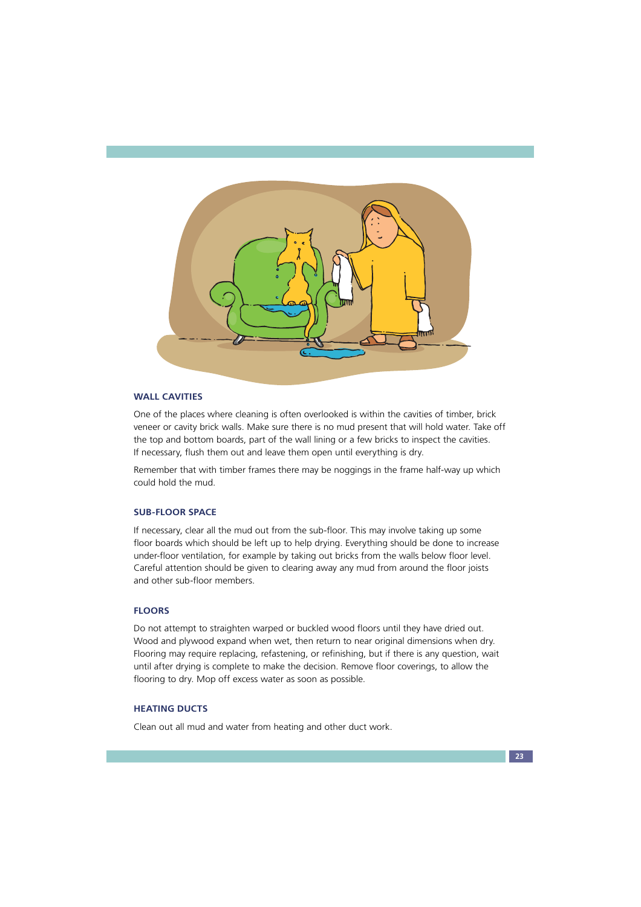

#### **WALL CAVITIES**

One of the places where cleaning is often overlooked is within the cavities of timber, brick veneer or cavity brick walls. Make sure there is no mud present that will hold water. Take off the top and bottom boards, part of the wall lining or a few bricks to inspect the cavities. If necessary, flush them out and leave them open until everything is dry.

Remember that with timber frames there may be noggings in the frame half-way up which could hold the mud.

#### **SUB-FLOOR SPACE**

If necessary, clear all the mud out from the sub-floor. This may involve taking up some floor boards which should be left up to help drying. Everything should be done to increase under-floor ventilation, for example by taking out bricks from the walls below floor level. Careful attention should be given to clearing away any mud from around the floor joists and other sub-floor members.

#### **FLOORS**

Do not attempt to straighten warped or buckled wood floors until they have dried out. Wood and plywood expand when wet, then return to near original dimensions when dry. Flooring may require replacing, refastening, or refinishing, but if there is any question, wait until after drying is complete to make the decision. Remove floor coverings, to allow the flooring to dry. Mop off excess water as soon as possible.

#### **HEATING DUCTS**

Clean out all mud and water from heating and other duct work.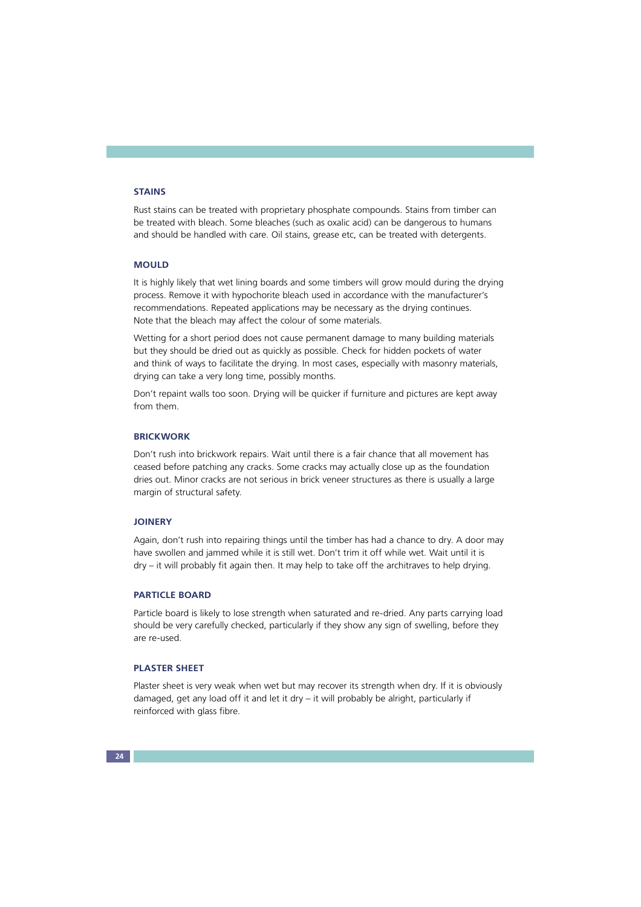#### **STAINS**

Rust stains can be treated with proprietary phosphate compounds. Stains from timber can be treated with bleach. Some bleaches (such as oxalic acid) can be dangerous to humans and should be handled with care. Oil stains, grease etc, can be treated with detergents.

#### **MOULD**

It is highly likely that wet lining boards and some timbers will grow mould during the drying process. Remove it with hypochorite bleach used in accordance with the manufacturer's recommendations. Repeated applications may be necessary as the drying continues. Note that the bleach may affect the colour of some materials.

Wetting for a short period does not cause permanent damage to many building materials but they should be dried out as quickly as possible. Check for hidden pockets of water and think of ways to facilitate the drying. In most cases, especially with masonry materials, drying can take a very long time, possibly months.

Don't repaint walls too soon. Drying will be quicker if furniture and pictures are kept away from them.

#### **BRICKWORK**

Don't rush into brickwork repairs. Wait until there is a fair chance that all movement has ceased before patching any cracks. Some cracks may actually close up as the foundation dries out. Minor cracks are not serious in brick veneer structures as there is usually a large margin of structural safety.

#### **JOINERY**

Again, don't rush into repairing things until the timber has had a chance to dry. A door may have swollen and jammed while it is still wet. Don't trim it off while wet. Wait until it is dry – it will probably fit again then. It may help to take off the architraves to help drying.

#### **PARTICLE BOARD**

Particle board is likely to lose strength when saturated and re-dried. Any parts carrying load should be very carefully checked, particularly if they show any sign of swelling, before they are re-used.

#### **PLASTER SHEET**

Plaster sheet is very weak when wet but may recover its strength when dry. If it is obviously damaged, get any load off it and let it dry – it will probably be alright, particularly if reinforced with glass fibre.

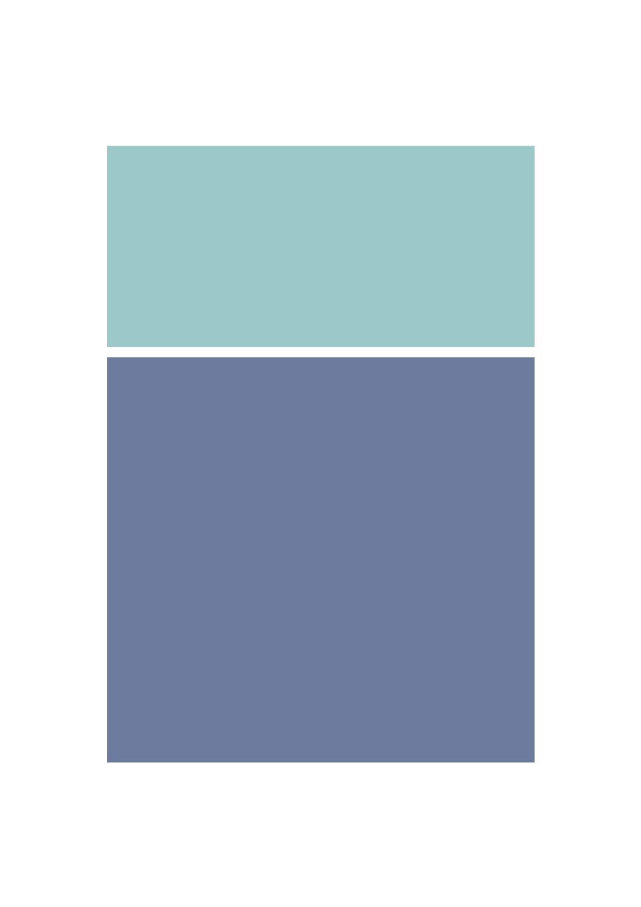